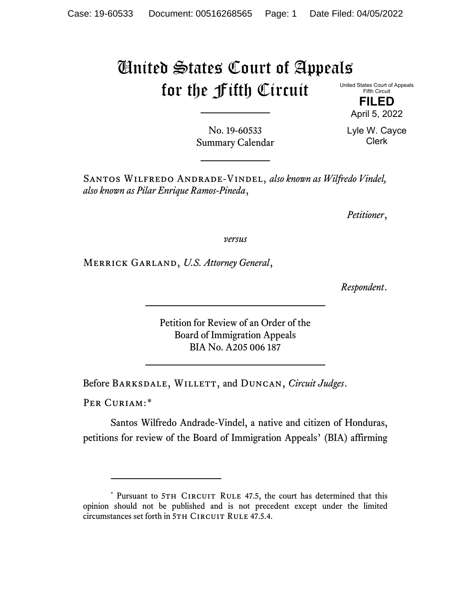## United States Court of Appeals for the Fifth Circuit

United States Court of Appeals Fifth Circuit

> **FILED** April 5, 2022

No. 19-60533 Summary Calendar Lyle W. Cayce Clerk

Santos Wilfredo Andrade-Vindel, *also known as Wilfredo Vindel, also known as Pilar Enrique Ramos-Pineda*,

*Petitioner*,

*versus*

Merrick Garland, *U.S. Attorney General*,

*Respondent*.

Petition for Review of an Order of the Board of Immigration Appeals BIA No. A205 006 187

Before Barksdale, Willett, and Duncan, *Circuit Judges*.

PER CURIAM:[\\*](#page-0-0)

Santos Wilfredo Andrade-Vindel, a native and citizen of Honduras, petitions for review of the Board of Immigration Appeals' (BIA) affirming

<span id="page-0-0"></span><sup>\*</sup> Pursuant to 5TH CIRCUIT RULE 47.5, the court has determined that this opinion should not be published and is not precedent except under the limited circumstances set forth in 5TH CIRCUIT RULE 47.5.4.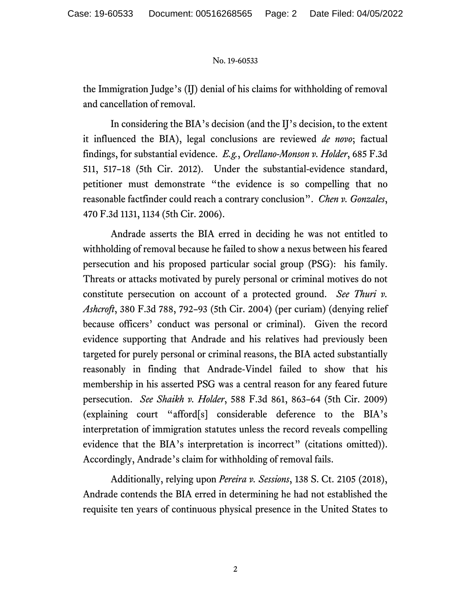## No. 19-60533

the Immigration Judge's (IJ) denial of his claims for withholding of removal and cancellation of removal.

In considering the BIA's decision (and the IJ's decision, to the extent it influenced the BIA), legal conclusions are reviewed *de novo*; factual findings, for substantial evidence. *E.g.*, *Orellano-Monson v. Holder*, 685 F.3d 511, 517–18 (5th Cir. 2012). Under the substantial-evidence standard, petitioner must demonstrate "the evidence is so compelling that no reasonable factfinder could reach a contrary conclusion". *Chen v. Gonzales*, 470 F.3d 1131, 1134 (5th Cir. 2006).

Andrade asserts the BIA erred in deciding he was not entitled to withholding of removal because he failed to show a nexus between his feared persecution and his proposed particular social group (PSG): his family. Threats or attacks motivated by purely personal or criminal motives do not constitute persecution on account of a protected ground. *See Thuri v. Ashcroft*, 380 F.3d 788, 792–93 (5th Cir. 2004) (per curiam) (denying relief because officers' conduct was personal or criminal). Given the record evidence supporting that Andrade and his relatives had previously been targeted for purely personal or criminal reasons, the BIA acted substantially reasonably in finding that Andrade-Vindel failed to show that his membership in his asserted PSG was a central reason for any feared future persecution. *See Shaikh v. Holder*, 588 F.3d 861, 863–64 (5th Cir. 2009) (explaining court "afford[s] considerable deference to the BIA's interpretation of immigration statutes unless the record reveals compelling evidence that the BIA's interpretation is incorrect" (citations omitted)). Accordingly, Andrade's claim for withholding of removal fails.

Additionally, relying upon *Pereira v. Sessions*, 138 S. Ct. 2105 (2018), Andrade contends the BIA erred in determining he had not established the requisite ten years of continuous physical presence in the United States to